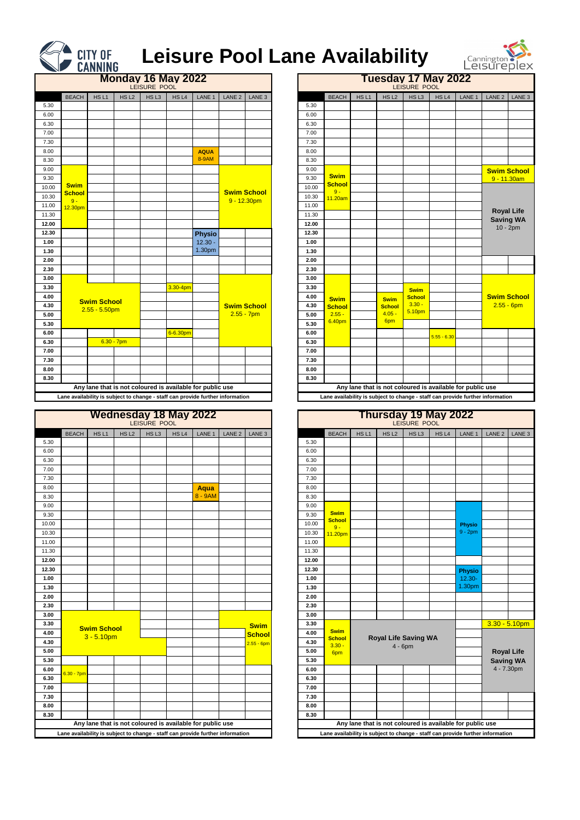|              |                              |                    |                  | LEISURE POOL     | <b>Monday 16 May 2022</b>                                 |               |                   |                    |  |
|--------------|------------------------------|--------------------|------------------|------------------|-----------------------------------------------------------|---------------|-------------------|--------------------|--|
|              | <b>BEACH</b>                 | HSL1               | HS <sub>L2</sub> | HS <sub>L3</sub> | HS <sub>L4</sub>                                          | LANE 1        | LANE <sub>2</sub> | LANE <sub>3</sub>  |  |
| 5.30         |                              |                    |                  |                  |                                                           |               |                   |                    |  |
| 6.00         |                              |                    |                  |                  |                                                           |               |                   |                    |  |
| 6.30         |                              |                    |                  |                  |                                                           |               |                   |                    |  |
| 7.00         |                              |                    |                  |                  |                                                           |               |                   |                    |  |
| 7.30         |                              |                    |                  |                  |                                                           |               |                   |                    |  |
| 8.00         |                              |                    |                  |                  |                                                           | <b>AQUA</b>   |                   |                    |  |
| 8.30         |                              |                    |                  |                  |                                                           | <b>8-9AM</b>  |                   |                    |  |
| 9.00         |                              |                    |                  |                  |                                                           |               |                   |                    |  |
| 9.30         |                              |                    |                  |                  |                                                           |               |                   |                    |  |
| 10.00        | <b>Swim</b><br><b>School</b> |                    |                  |                  |                                                           |               |                   | <b>Swim School</b> |  |
| 10.30        | $9 -$                        |                    |                  |                  |                                                           |               |                   | $9 - 12.30pm$      |  |
| 11.00        | 12.30pm                      |                    |                  |                  |                                                           |               |                   |                    |  |
| 11.30        |                              |                    |                  |                  |                                                           |               |                   |                    |  |
| 12.00        |                              |                    |                  |                  |                                                           |               |                   |                    |  |
| 12.30        |                              |                    |                  |                  |                                                           | <b>Physio</b> |                   |                    |  |
| 1.00         |                              |                    |                  |                  |                                                           | $12.30 -$     |                   |                    |  |
| 1.30         |                              |                    |                  |                  |                                                           | 1.30pm        |                   |                    |  |
| 2.00         |                              |                    |                  |                  |                                                           |               |                   |                    |  |
| 2.30         |                              |                    |                  |                  |                                                           |               |                   |                    |  |
| 3.00         |                              |                    |                  |                  |                                                           |               |                   |                    |  |
| 3.30         |                              |                    |                  |                  | 3.30-4pm                                                  |               |                   |                    |  |
| 4.00         |                              | <b>Swim School</b> |                  |                  |                                                           |               |                   |                    |  |
| 4.30         |                              | $2.55 - 5.50$ pm   |                  |                  |                                                           |               |                   | <b>Swim School</b> |  |
| 5.00         |                              |                    |                  |                  |                                                           |               |                   | $2.55 - 7pm$       |  |
| 5.30         |                              |                    |                  |                  |                                                           |               |                   |                    |  |
| 6.00<br>6.30 |                              |                    | $6.30 - 7$ pm    |                  | 6-6.30pm                                                  |               |                   |                    |  |
| 7.00         |                              |                    |                  |                  |                                                           |               |                   |                    |  |
| 7.30         |                              |                    |                  |                  |                                                           |               |                   |                    |  |
| 8.00         |                              |                    |                  |                  |                                                           |               |                   |                    |  |
| 8.30         |                              |                    |                  |                  |                                                           |               |                   |                    |  |
|              |                              |                    |                  |                  | Any lane that is not coloured is available for public use |               |                   |                    |  |
|              |                              |                    |                  |                  |                                                           |               |                   |                    |  |

|                                                                                |                                                           |                  | LEISURE POOL     | <b>Monday 16 May 2022</b> |               |                   |                    |       |                        |                  |                  | LEISURE POOL  | Tuesday 17 May 2022 |                                                           |                                                                                |                    |
|--------------------------------------------------------------------------------|-----------------------------------------------------------|------------------|------------------|---------------------------|---------------|-------------------|--------------------|-------|------------------------|------------------|------------------|---------------|---------------------|-----------------------------------------------------------|--------------------------------------------------------------------------------|--------------------|
| <b>BEACH</b>                                                                   | HS <sub>L1</sub>                                          | HS <sub>L2</sub> | HS <sub>L3</sub> | HS L4                     | LANE 1        | LANE <sub>2</sub> | LANE <sub>3</sub>  |       | <b>BEACH</b>           | HS <sub>L1</sub> | HS <sub>L2</sub> | HSL3          | HS L4               | LANE 1                                                    | LANE <sub>2</sub>                                                              | LANE 3             |
|                                                                                |                                                           |                  |                  |                           |               |                   |                    | 5.30  |                        |                  |                  |               |                     |                                                           |                                                                                |                    |
|                                                                                |                                                           |                  |                  |                           |               |                   |                    | 6.00  |                        |                  |                  |               |                     |                                                           |                                                                                |                    |
|                                                                                |                                                           |                  |                  |                           |               |                   |                    | 6.30  |                        |                  |                  |               |                     |                                                           |                                                                                |                    |
|                                                                                |                                                           |                  |                  |                           |               |                   |                    | 7.00  |                        |                  |                  |               |                     |                                                           |                                                                                |                    |
|                                                                                |                                                           |                  |                  |                           |               |                   |                    | 7.30  |                        |                  |                  |               |                     |                                                           |                                                                                |                    |
|                                                                                |                                                           |                  |                  |                           | <b>AQUA</b>   |                   |                    | 8.00  |                        |                  |                  |               |                     |                                                           |                                                                                |                    |
|                                                                                |                                                           |                  |                  |                           | 8-9AM         |                   |                    | 8.30  |                        |                  |                  |               |                     |                                                           |                                                                                |                    |
|                                                                                |                                                           |                  |                  |                           |               |                   |                    | 9.00  |                        |                  |                  |               |                     |                                                           |                                                                                | <b>Swim School</b> |
|                                                                                |                                                           |                  |                  |                           |               |                   |                    | 9.30  | <b>Swim</b>            |                  |                  |               |                     |                                                           | 9 - 11.30am                                                                    |                    |
| <b>Swim</b>                                                                    |                                                           |                  |                  |                           |               |                   | <b>Swim School</b> | 10.00 | <b>School</b><br>$9 -$ |                  |                  |               |                     |                                                           |                                                                                |                    |
| <b>School</b><br>$9 -$                                                         |                                                           |                  |                  |                           |               | $9 - 12.30pm$     |                    | 10.30 | 11.20am                |                  |                  |               |                     |                                                           |                                                                                |                    |
| 12.30pm                                                                        |                                                           |                  |                  |                           |               |                   |                    | 11.00 |                        |                  |                  |               |                     |                                                           | <b>Royal Life</b>                                                              |                    |
|                                                                                |                                                           |                  |                  |                           |               |                   |                    | 11.30 |                        |                  |                  |               |                     |                                                           | <b>Saving WA</b>                                                               |                    |
|                                                                                |                                                           |                  |                  |                           |               |                   |                    | 12.00 |                        |                  |                  |               |                     |                                                           | $10 - 2pm$                                                                     |                    |
|                                                                                |                                                           |                  |                  |                           | <b>Physio</b> |                   |                    | 12.30 |                        |                  |                  |               |                     |                                                           |                                                                                |                    |
|                                                                                |                                                           |                  |                  |                           | $12.30 -$     |                   |                    | 1.00  |                        |                  |                  |               |                     |                                                           |                                                                                |                    |
|                                                                                |                                                           |                  |                  |                           | 1.30pm        |                   |                    | 1.30  |                        |                  |                  |               |                     |                                                           |                                                                                |                    |
|                                                                                |                                                           |                  |                  |                           |               |                   |                    | 2.00  |                        |                  |                  |               |                     |                                                           |                                                                                |                    |
|                                                                                |                                                           |                  |                  |                           |               |                   |                    | 2.30  |                        |                  |                  |               |                     |                                                           |                                                                                |                    |
|                                                                                |                                                           |                  |                  |                           |               |                   |                    | 3.00  |                        |                  |                  |               |                     |                                                           |                                                                                |                    |
|                                                                                |                                                           |                  |                  | $3.30 - 4pm$              |               |                   |                    | 3.30  |                        |                  |                  | <b>Swim</b>   |                     |                                                           |                                                                                |                    |
|                                                                                | <b>Swim School</b>                                        |                  |                  |                           |               |                   |                    | 4.00  | <b>Swim</b>            |                  | <b>Swim</b>      | <b>School</b> |                     |                                                           |                                                                                | <b>Swim School</b> |
|                                                                                | $2.55 - 5.50$ pm                                          |                  |                  |                           |               |                   | <b>Swim School</b> | 4.30  | <b>School</b>          |                  | <b>School</b>    | $3.30 -$      |                     |                                                           | $2.55 - 6pm$                                                                   |                    |
|                                                                                |                                                           |                  |                  |                           |               |                   | $2.55 - 7pm$       | 5.00  | $2.55 -$               |                  | $4.05 -$         | 5.10pm        |                     |                                                           |                                                                                |                    |
|                                                                                |                                                           |                  |                  |                           |               |                   |                    | 5.30  | 6.40pm                 |                  | 6pm              |               |                     |                                                           |                                                                                |                    |
|                                                                                |                                                           |                  |                  | 6-6.30pm                  |               |                   |                    | 6.00  |                        |                  |                  |               | $5.55 - 6.30$       |                                                           |                                                                                |                    |
|                                                                                |                                                           | $6.30 - 7$ pm    |                  |                           |               |                   |                    | 6.30  |                        |                  |                  |               |                     |                                                           |                                                                                |                    |
|                                                                                |                                                           |                  |                  |                           |               |                   |                    | 7.00  |                        |                  |                  |               |                     |                                                           |                                                                                |                    |
|                                                                                |                                                           |                  |                  |                           |               |                   |                    | 7.30  |                        |                  |                  |               |                     |                                                           |                                                                                |                    |
|                                                                                |                                                           |                  |                  |                           |               |                   |                    | 8.00  |                        |                  |                  |               |                     |                                                           |                                                                                |                    |
|                                                                                |                                                           |                  |                  |                           |               |                   |                    | 8.30  |                        |                  |                  |               |                     |                                                           |                                                                                |                    |
|                                                                                | Any lane that is not coloured is available for public use |                  |                  |                           |               |                   |                    |       |                        |                  |                  |               |                     | Any lane that is not coloured is available for public use |                                                                                |                    |
| Lane availability is subject to change - staff can provide further information |                                                           |                  |                  |                           |               |                   |                    |       |                        |                  |                  |               |                     |                                                           | Lane availability is subject to change - staff can provide further information |                    |



## **Leisure Pool Lane Availability**



|              |                    |                  | <b>Wednesday 18 May 2022</b><br>LEISURE POOL |                  |                                                                             |                       |               |              |                              |                  | Thursday 19 May 2022        | LEISURE POOL     |                  |                                                                                |                                       |  |
|--------------|--------------------|------------------|----------------------------------------------|------------------|-----------------------------------------------------------------------------|-----------------------|---------------|--------------|------------------------------|------------------|-----------------------------|------------------|------------------|--------------------------------------------------------------------------------|---------------------------------------|--|
| <b>BEACH</b> | HS <sub>L1</sub>   | HS <sub>L2</sub> | HS <sub>L3</sub>                             | HS <sub>L4</sub> | LANE <sub>1</sub>                                                           | LANE 2 $\vert$ LANE 3 |               |              | <b>BEACH</b>                 | HS <sub>L1</sub> | HS <sub>L2</sub>            | HS <sub>L3</sub> | HS <sub>L4</sub> | LANE 1                                                                         | LANE 2 $\vert$ LANE 3                 |  |
|              |                    |                  |                                              |                  |                                                                             |                       |               | 5.30         |                              |                  |                             |                  |                  |                                                                                |                                       |  |
|              |                    |                  |                                              |                  |                                                                             |                       |               | 6.00         |                              |                  |                             |                  |                  |                                                                                |                                       |  |
|              |                    |                  |                                              |                  |                                                                             |                       |               | 6.30         |                              |                  |                             |                  |                  |                                                                                |                                       |  |
|              |                    |                  |                                              |                  |                                                                             |                       |               | 7.00         |                              |                  |                             |                  |                  |                                                                                |                                       |  |
|              |                    |                  |                                              |                  |                                                                             |                       |               | 7.30         |                              |                  |                             |                  |                  |                                                                                |                                       |  |
|              |                    |                  |                                              |                  | <b>Aqua</b>                                                                 |                       |               | 8.00         |                              |                  |                             |                  |                  |                                                                                |                                       |  |
|              |                    |                  |                                              |                  | 8 - 9AM                                                                     |                       |               | 8.30         |                              |                  |                             |                  |                  |                                                                                |                                       |  |
|              |                    |                  |                                              |                  |                                                                             |                       |               | 9.00         |                              |                  |                             |                  |                  |                                                                                |                                       |  |
|              |                    |                  |                                              |                  |                                                                             |                       |               | 9.30         | <b>Swim</b><br><b>School</b> |                  |                             |                  |                  |                                                                                |                                       |  |
|              |                    |                  |                                              |                  |                                                                             |                       |               | 10.00        | $9 -$                        |                  |                             |                  |                  | <b>Physio</b>                                                                  |                                       |  |
|              |                    |                  |                                              |                  |                                                                             |                       |               | 10.30        | 11.20pm                      |                  |                             |                  |                  | $9 - 2pm$                                                                      |                                       |  |
|              |                    |                  |                                              |                  |                                                                             |                       |               | 11.00        |                              |                  |                             |                  |                  |                                                                                |                                       |  |
|              |                    |                  |                                              |                  |                                                                             |                       |               | 11.30        |                              |                  |                             |                  |                  |                                                                                |                                       |  |
|              |                    |                  |                                              |                  |                                                                             |                       |               | 12.00        |                              |                  |                             |                  |                  |                                                                                |                                       |  |
|              |                    |                  |                                              |                  |                                                                             |                       |               | 12.30        |                              |                  |                             |                  |                  | <b>Physio</b>                                                                  |                                       |  |
|              |                    |                  |                                              |                  |                                                                             |                       |               | 1.00         |                              |                  |                             |                  |                  | $12.30 -$                                                                      |                                       |  |
|              |                    |                  |                                              |                  |                                                                             |                       |               | 1.30         |                              |                  |                             |                  |                  | 1.30pm                                                                         |                                       |  |
|              |                    |                  |                                              |                  |                                                                             |                       |               | 2.00         |                              |                  |                             |                  |                  |                                                                                |                                       |  |
|              |                    |                  |                                              |                  |                                                                             |                       |               | 2.30         |                              |                  |                             |                  |                  |                                                                                |                                       |  |
|              |                    |                  |                                              |                  |                                                                             |                       |               | 3.00         |                              |                  |                             |                  |                  |                                                                                |                                       |  |
|              | <b>Swim School</b> |                  |                                              |                  |                                                                             |                       | <b>Swim</b>   | 3.30         | <b>Swim</b>                  |                  |                             |                  |                  |                                                                                | $3.30 - 5.10$ pm                      |  |
|              | $3 - 5.10pm$       |                  |                                              |                  |                                                                             |                       | <b>School</b> | 4.00         | <b>School</b>                |                  | <b>Royal Life Saving WA</b> |                  |                  |                                                                                |                                       |  |
|              |                    |                  |                                              |                  |                                                                             |                       | $2.55 - 6pm$  | 4.30<br>5.00 | $3.30 -$                     |                  | $4 - 6$ pm                  |                  |                  |                                                                                |                                       |  |
|              |                    |                  |                                              |                  |                                                                             |                       |               | 5.30         | 6pm                          |                  |                             |                  |                  |                                                                                | <b>Royal Life</b><br><b>Saving WA</b> |  |
|              |                    |                  |                                              |                  |                                                                             |                       |               | 6.00         |                              |                  |                             |                  |                  |                                                                                | 4 - 7.30pm                            |  |
| 30 - 7pm     |                    |                  |                                              |                  |                                                                             |                       |               | 6.30         |                              |                  |                             |                  |                  |                                                                                |                                       |  |
|              |                    |                  |                                              |                  |                                                                             |                       |               | 7.00         |                              |                  |                             |                  |                  |                                                                                |                                       |  |
|              |                    |                  |                                              |                  |                                                                             |                       |               | 7.30         |                              |                  |                             |                  |                  |                                                                                |                                       |  |
|              |                    |                  |                                              |                  |                                                                             |                       |               | 8.00         |                              |                  |                             |                  |                  |                                                                                |                                       |  |
|              |                    |                  |                                              |                  |                                                                             |                       |               | 8.30         |                              |                  |                             |                  |                  |                                                                                |                                       |  |
|              |                    |                  |                                              |                  | Any lane that is not coloured is available for public use                   |                       |               |              |                              |                  |                             |                  |                  | Any lane that is not coloured is available for public use                      |                                       |  |
|              |                    |                  |                                              |                  | e availability is subject to change - staff can provide further information |                       |               |              |                              |                  |                             |                  |                  | Lane availability is subject to change - staff can provide further information |                                       |  |

|       |                                                                                |                    |                  | LEISURE POOL |                  | <b>Wednesday 18 May 2022</b>                              |                   |                   |       |                        |                  |                  | Thursday 19 May 2022<br>LEISURE POOL |                  |                                                                                |                   |  |
|-------|--------------------------------------------------------------------------------|--------------------|------------------|--------------|------------------|-----------------------------------------------------------|-------------------|-------------------|-------|------------------------|------------------|------------------|--------------------------------------|------------------|--------------------------------------------------------------------------------|-------------------|--|
|       | <b>BEACH</b>                                                                   | HS <sub>L1</sub>   | HS <sub>L2</sub> | HSL3         | HS <sub>L4</sub> | LANE 1                                                    | LANE <sub>2</sub> | LANE <sub>3</sub> |       | <b>BEACH</b>           | HS <sub>L1</sub> | HS <sub>L2</sub> | HS <sub>L3</sub>                     | HS <sub>L4</sub> | LANE 1                                                                         | LANE <sub>2</sub> |  |
| 5.30  |                                                                                |                    |                  |              |                  |                                                           |                   |                   | 5.30  |                        |                  |                  |                                      |                  |                                                                                |                   |  |
| 6.00  |                                                                                |                    |                  |              |                  |                                                           |                   |                   | 6.00  |                        |                  |                  |                                      |                  |                                                                                |                   |  |
| 6.30  |                                                                                |                    |                  |              |                  |                                                           |                   |                   | 6.30  |                        |                  |                  |                                      |                  |                                                                                |                   |  |
| 7.00  |                                                                                |                    |                  |              |                  |                                                           |                   |                   | 7.00  |                        |                  |                  |                                      |                  |                                                                                |                   |  |
| 7.30  |                                                                                |                    |                  |              |                  |                                                           |                   |                   | 7.30  |                        |                  |                  |                                      |                  |                                                                                |                   |  |
| 8.00  |                                                                                |                    |                  |              |                  | <b>Aqua</b>                                               |                   |                   | 8.00  |                        |                  |                  |                                      |                  |                                                                                |                   |  |
| 8.30  |                                                                                |                    |                  |              |                  | 8 - 9AM                                                   |                   |                   | 8.30  |                        |                  |                  |                                      |                  |                                                                                |                   |  |
| 9.00  |                                                                                |                    |                  |              |                  |                                                           |                   |                   | 9.00  |                        |                  |                  |                                      |                  |                                                                                |                   |  |
| 9.30  |                                                                                |                    |                  |              |                  |                                                           |                   |                   | 9.30  | <b>Swim</b>            |                  |                  |                                      |                  |                                                                                |                   |  |
| 10.00 |                                                                                |                    |                  |              |                  |                                                           |                   |                   | 10.00 | <b>School</b><br>$9 -$ |                  |                  |                                      |                  | <b>Physio</b>                                                                  |                   |  |
| 10.30 |                                                                                |                    |                  |              |                  |                                                           |                   |                   | 10.30 | 11.20pm                |                  |                  |                                      |                  | $9 - 2pm$                                                                      |                   |  |
| 11.00 |                                                                                |                    |                  |              |                  |                                                           |                   |                   | 11.00 |                        |                  |                  |                                      |                  |                                                                                |                   |  |
| 11.30 |                                                                                |                    |                  |              |                  |                                                           |                   |                   | 11.30 |                        |                  |                  |                                      |                  |                                                                                |                   |  |
| 12.00 |                                                                                |                    |                  |              |                  |                                                           |                   |                   | 12.00 |                        |                  |                  |                                      |                  |                                                                                |                   |  |
| 12.30 |                                                                                |                    |                  |              |                  |                                                           |                   |                   | 12.30 |                        |                  |                  |                                      |                  | <b>Physio</b>                                                                  |                   |  |
| 1.00  |                                                                                |                    |                  |              |                  |                                                           |                   |                   | 1.00  |                        |                  |                  |                                      |                  | $12.30 -$                                                                      |                   |  |
| 1.30  |                                                                                |                    |                  |              |                  |                                                           |                   |                   | 1.30  |                        |                  |                  |                                      |                  | 1.30pm                                                                         |                   |  |
| 2.00  |                                                                                |                    |                  |              |                  |                                                           |                   |                   | 2.00  |                        |                  |                  |                                      |                  |                                                                                |                   |  |
| 2.30  |                                                                                |                    |                  |              |                  |                                                           |                   |                   | 2.30  |                        |                  |                  |                                      |                  |                                                                                |                   |  |
| 3.00  |                                                                                |                    |                  |              |                  |                                                           |                   |                   | 3.00  |                        |                  |                  |                                      |                  |                                                                                |                   |  |
| 3.30  |                                                                                |                    |                  |              |                  |                                                           |                   | <b>Swim</b>       | 3.30  |                        |                  |                  |                                      |                  |                                                                                | $3.30 - 5.$       |  |
| 4.00  |                                                                                | <b>Swim School</b> |                  |              |                  |                                                           |                   | <b>School</b>     | 4.00  | <b>Swim</b>            |                  |                  |                                      |                  |                                                                                |                   |  |
| 4.30  |                                                                                | $3 - 5.10pm$       |                  |              |                  |                                                           |                   | $2.55 - 6pm$      | 4.30  | <b>School</b>          |                  |                  | <b>Royal Life Saving WA</b>          |                  |                                                                                |                   |  |
| 5.00  |                                                                                |                    |                  |              |                  |                                                           |                   |                   | 5.00  | $3.30 -$<br>6pm        |                  |                  | 4 - 6pm                              |                  |                                                                                | Royal             |  |
| 5.30  |                                                                                |                    |                  |              |                  |                                                           |                   |                   | 5.30  |                        |                  |                  |                                      |                  |                                                                                | Saving            |  |
| 6.00  |                                                                                |                    |                  |              |                  |                                                           |                   |                   | 6.00  |                        |                  |                  |                                      |                  |                                                                                | $4 - 7.3$         |  |
| 6.30  | $6.30 - 7pm$                                                                   |                    |                  |              |                  |                                                           |                   |                   | 6.30  |                        |                  |                  |                                      |                  |                                                                                |                   |  |
| 7.00  |                                                                                |                    |                  |              |                  |                                                           |                   |                   | 7.00  |                        |                  |                  |                                      |                  |                                                                                |                   |  |
| 7.30  |                                                                                |                    |                  |              |                  |                                                           |                   |                   | 7.30  |                        |                  |                  |                                      |                  |                                                                                |                   |  |
| 8.00  |                                                                                |                    |                  |              |                  |                                                           |                   |                   | 8.00  |                        |                  |                  |                                      |                  |                                                                                |                   |  |
| 8.30  |                                                                                |                    |                  |              |                  |                                                           |                   |                   | 8.30  |                        |                  |                  |                                      |                  |                                                                                |                   |  |
|       |                                                                                |                    |                  |              |                  | Any lane that is not coloured is available for public use |                   |                   |       |                        |                  |                  |                                      |                  | Any lane that is not coloured is available for public use                      |                   |  |
|       | Lane availability is subject to change - staff can provide further information |                    |                  |              |                  |                                                           |                   |                   |       |                        |                  |                  |                                      |                  | Lane availability is subject to change - staff can provide further information |                   |  |